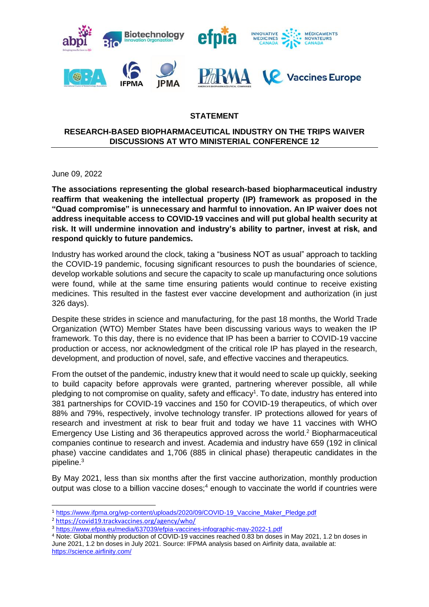

## **STATEMENT**

## **RESEARCH-BASED BIOPHARMACEUTICAL INDUSTRY ON THE TRIPS WAIVER DISCUSSIONS AT WTO MINISTERIAL CONFERENCE 12**

June 09, 2022

**The associations representing the global research-based biopharmaceutical industry reaffirm that weakening the intellectual property (IP) framework as proposed in the "Quad compromise" is unnecessary and harmful to innovation. An IP waiver does not address inequitable access to COVID-19 vaccines and will put global health security at risk. It will undermine innovation and industry's ability to partner, invest at risk, and respond quickly to future pandemics.**

Industry has worked around the clock, taking a "business NOT as usual" approach to tackling the COVID-19 pandemic, focusing significant resources to push the boundaries of science, develop workable solutions and secure the capacity to scale up manufacturing once solutions were found, while at the same time ensuring patients would continue to receive existing medicines. This resulted in the fastest ever vaccine development and authorization (in just 326 days).

Despite these strides in science and manufacturing, for the past 18 months, the World Trade Organization (WTO) Member States have been discussing various ways to weaken the IP framework. To this day, there is no evidence that IP has been a barrier to COVID-19 vaccine production or access, nor acknowledgment of the critical role IP has played in the research, development, and production of novel, safe, and effective vaccines and therapeutics.

From the outset of the pandemic, industry knew that it would need to scale up quickly, seeking to build capacity before approvals were granted, partnering wherever possible, all while pledging to not compromise on quality, safety and efficacy<sup>1</sup>. To date, industry has entered into 381 partnerships for COVID-19 vaccines and 150 for COVID-19 therapeutics, of which over 88% and 79%, respectively, involve technology transfer. IP protections allowed for years of research and investment at risk to bear fruit and today we have 11 vaccines with WHO Emergency Use Listing and 36 therapeutics approved across the world. <sup>2</sup> Biopharmaceutical companies continue to research and invest. Academia and industry have 659 (192 in clinical phase) vaccine candidates and 1,706 (885 in clinical phase) therapeutic candidates in the pipeline. 3

By May 2021, less than six months after the first vaccine authorization, monthly production output was close to a billion vaccine doses;<sup>4</sup> enough to vaccinate the world if countries were

<sup>&</sup>lt;sup>1</sup> https://www.ifpma.org/wp-content/uploads/2020/09/COVID-19\_Vaccine\_Maker\_Pledge.pdf

<sup>2</sup> https://covid19.trackvaccines.org/agency/who/

<sup>3</sup> https://www.efpia.eu/media/637039/efpia-vaccines-infographic-may-2022-1.pdf

<sup>&</sup>lt;sup>4</sup> Note: Global monthly production of COVID-19 vaccines reached 0.83 bn doses in May 2021, 1.2 bn doses in June 2021, 1.2 bn doses in July 2021. Source: IFPMA analysis based on Airfinity data, available at: https://science.airfinity.com/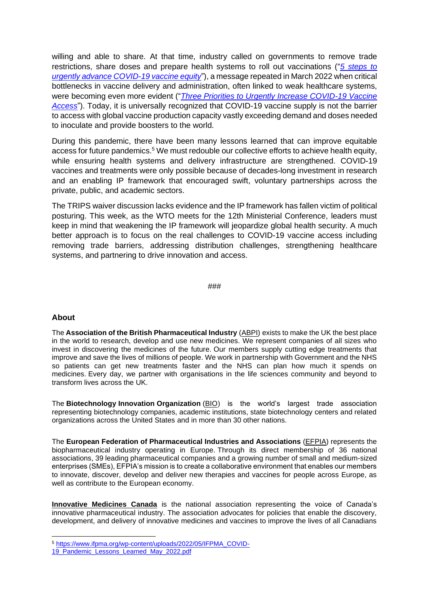willing and able to share. At that time, industry called on governments to remove trade restrictions, share doses and prepare health systems to roll out vaccinations ("*[5 steps to](https://www.ifpma.org/wp-content/uploads/2021/05/News-Release-Five-steps-to-urgently-advance-COVID-19-vaccine-equity-19-May-2021.pdf)  [urgently advance COVID-19 vaccine equity](https://www.ifpma.org/wp-content/uploads/2021/05/News-Release-Five-steps-to-urgently-advance-COVID-19-vaccine-equity-19-May-2021.pdf)*"), a message repeated in March 2022 when critical bottlenecks in vaccine delivery and administration, often linked to weak healthcare systems, were becoming even more evident ("*[Three Priorities to Urgently Increase COVID-19 Vaccine](https://www.ifpma.org/wp-content/uploads/2022/02/Press_Release_Three-Priorities-Increase-Acccess-COVID-19-Vaccines-2.pdf)  [Access](https://www.ifpma.org/wp-content/uploads/2022/02/Press_Release_Three-Priorities-Increase-Acccess-COVID-19-Vaccines-2.pdf)*"). Today, it is universally recognized that COVID-19 vaccine supply is not the barrier to access with global vaccine production capacity vastly exceeding demand and doses needed to inoculate and provide boosters to the world.

During this pandemic, there have been many lessons learned that can improve equitable access for future pandemics. <sup>5</sup> We must redouble our collective efforts to achieve health equity, while ensuring health systems and delivery infrastructure are strengthened. COVID-19 vaccines and treatments were only possible because of decades-long investment in research and an enabling IP framework that encouraged swift, voluntary partnerships across the private, public, and academic sectors.

The TRIPS waiver discussion lacks evidence and the IP framework has fallen victim of political posturing. This week, as the WTO meets for the 12th Ministerial Conference, leaders must keep in mind that weakening the IP framework will jeopardize global health security. A much better approach is to focus on the real challenges to COVID-19 vaccine access including removing trade barriers, addressing distribution challenges, strengthening healthcare systems, and partnering to drive innovation and access.

###

## **About**

The **Association of the British Pharmaceutical Industry** [\(ABPI\)](https://www.abpi.org.uk/#94796047) exists to make the UK the best place in the world to research, develop and use new medicines. We represent companies of all sizes who invest in discovering the medicines of the future. Our members supply cutting edge treatments that improve and save the lives of millions of people. We work in partnership with Government and the NHS so patients can get new treatments faster and the NHS can plan how much it spends on medicines. Every day, we partner with organisations in the life sciences community and beyond to transform lives across the UK.

The **Biotechnology Innovation Organization** [\(BIO\)](https://www.bio.org/) is the world's largest trade association representing biotechnology companies, academic institutions, state biotechnology centers and related organizations across the United States and in more than 30 other nations.

The **European Federation of Pharmaceutical Industries and Associations** [\(EFPIA\)](https://www.efpia.eu/about-us/) represents the biopharmaceutical industry operating in Europe. Through its direct membership of 36 national associations, 39 leading pharmaceutical companies and a growing number of small and medium-sized enterprises (SMEs), EFPIA's mission is to create a collaborative environment that enables our members to innovate, discover, develop and deliver new therapies and vaccines for people across Europe, as well as contribute to the European economy.

**[Innovative Medicines Canada](http://innovativemedicines.ca/)** is the national association representing the voice of Canada's innovative pharmaceutical industry. The association advocates for policies that enable the discovery, development, and delivery of innovative medicines and vaccines to improve the lives of all Canadians

<sup>5</sup> [https://www.ifpma.org/wp-content/uploads/2022/05/IFPMA\\_COVID-](https://www.ifpma.org/wp-content/uploads/2022/05/IFPMA_COVID-19_Pandemic_Lessons_Learned_May_2022.pdf)

<sup>19</sup> Pandemic Lessons Learned May 2022.pdf